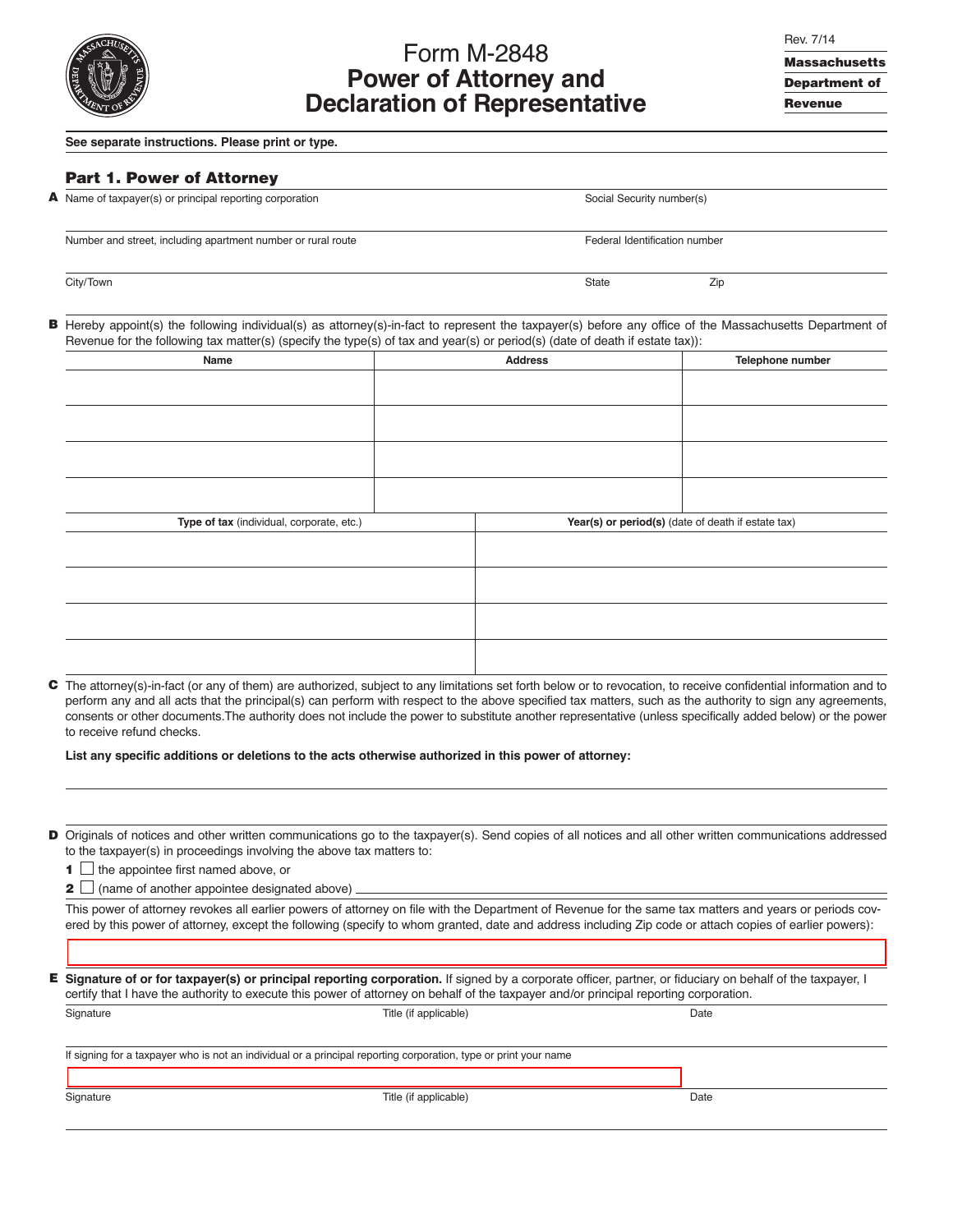

# Form M-2848 **Power of Attorney and Declaration of Representative**

**Massachusetts Department of Revenue**

#### **See separate instructions. Please print or type.**

## **Part 1. Power of Attorney**

|  |  | A Name of taxpayer(s) or principal reporting corporation |  |
|--|--|----------------------------------------------------------|--|
|  |  |                                                          |  |

Social Security number(s)

Number and street, including apartment number or rural route Federal Identification number or rural route

City/Town State Zip 2014 - 2016 - 2021 - 2022 - 2022 - 2022 - 2022 - 2022 - 2023 - 2022 - 2022 - 2023 - 2022 -

**B**

Hereby appoint(s) the following individual(s) as attorney(s)-in-fact to represent the taxpayer(s) before any office of the Massachusetts Department of Revenue for the following tax matter(s) (specify the type(s) of tax and year(s) or period(s) (date of death if estate tax)):

| Name                                      | <b>Address</b>                                     | Telephone number |
|-------------------------------------------|----------------------------------------------------|------------------|
|                                           |                                                    |                  |
|                                           |                                                    |                  |
|                                           |                                                    |                  |
|                                           |                                                    |                  |
|                                           |                                                    |                  |
|                                           |                                                    |                  |
|                                           |                                                    |                  |
|                                           |                                                    |                  |
| Type of tax (individual, corporate, etc.) | Year(s) or period(s) (date of death if estate tax) |                  |
|                                           |                                                    |                  |
|                                           |                                                    |                  |
|                                           |                                                    |                  |
|                                           |                                                    |                  |
|                                           |                                                    |                  |
|                                           |                                                    |                  |
|                                           |                                                    |                  |
|                                           |                                                    |                  |

The attorney(s)-in-fact (or any of them) are authorized, subject to any limitations set forth below or to revocation, to receive confidential information and to **C** perform any and all acts that the principal(s) can perform with respect to the above specified tax matters, such as the authority to sign any agreements, consents or other documents.The authority does not include the power to substitute another representative (unless specifically added below) or the power to receive refund checks.

**List any specific additions or deletions to the acts otherwise authorized in this power of attorney:**

D Originals of notices and other written communications go to the taxpayer(s). Send copies of all notices and all other written communications addressed to the taxpayer(s) in proceedings involving the above tax matters to:

**1** the appointee first named above, or

**2**  $\Box$  (name of another appointee designated above)

This power of attorney revokes all earlier powers of attorney on file with the Department of Revenue for the same tax matters and years or periods covered by this power of attorney, except the following (specify to whom granted, date and address including Zip code or attach copies of earlier powers):

**Signature of or for taxpayer(s) or principal reporting corporation.** If signed by a corporate officer, partner, or fiduciary on behalf of the taxpayer, I **E**certify that I have the authority to execute this power of attorney on behalf of the taxpayer and/or principal reporting corporation.

| Signature | Title (if applicable)                                                                                            | Date |  |
|-----------|------------------------------------------------------------------------------------------------------------------|------|--|
|           |                                                                                                                  |      |  |
|           | If signing for a taxpayer who is not an individual or a principal reporting corporation, type or print your name |      |  |
|           |                                                                                                                  |      |  |
| Signature | Title (if applicable)                                                                                            | Date |  |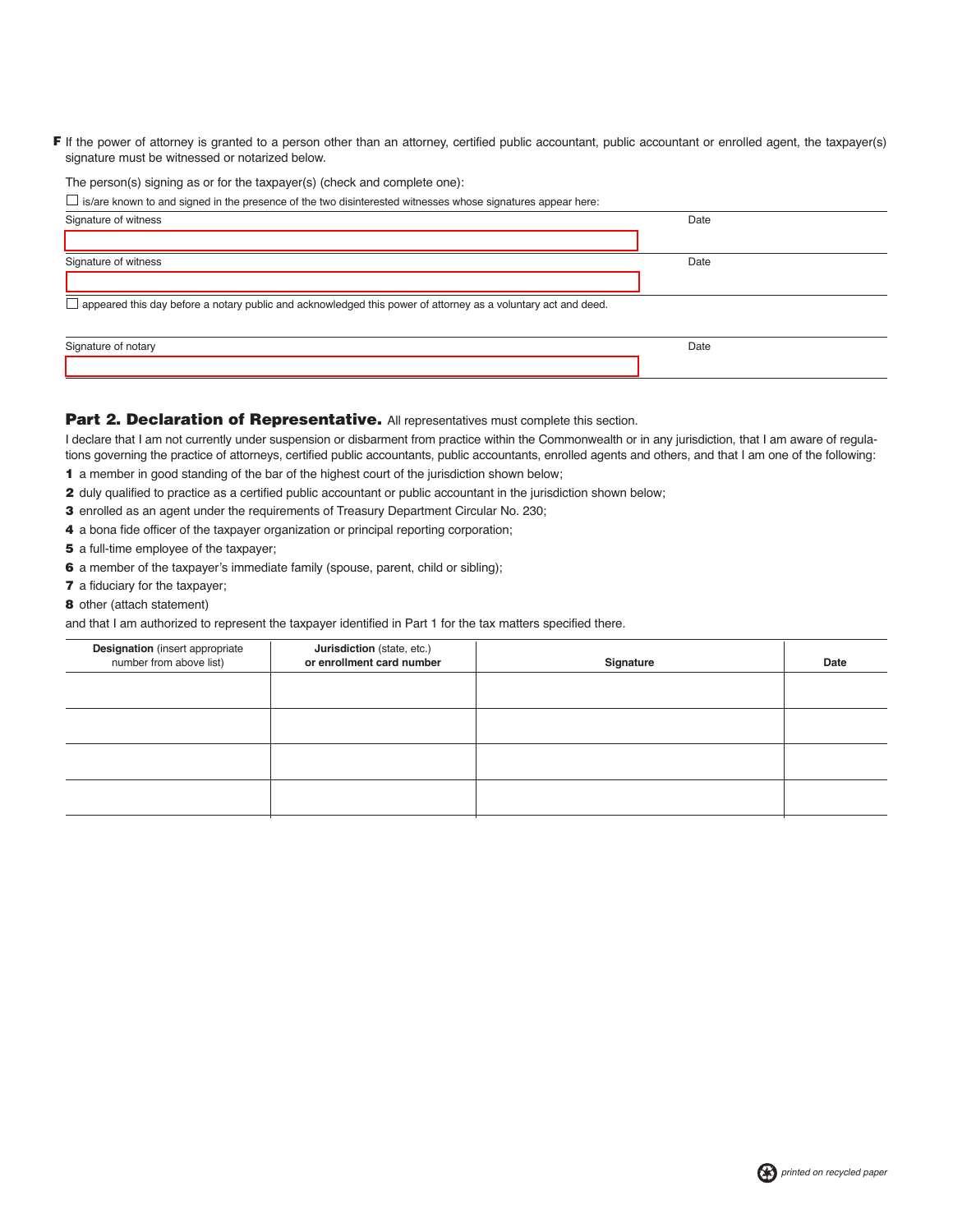F If the power of attorney is granted to a person other than an attorney, certified public accountant, public accountant or enrolled agent, the taxpayer(s) signature must be witnessed or notarized below.

The person(s) signing as or for the taxpayer(s) (check and complete one):  $\Box$  is/are known to and signed in the presence of the two disinterested witnesses whose signatures appear here:

| $\Box$ is/are known to and signed in the presence of the two distributested withesses whose signatures appear here: |      |  |
|---------------------------------------------------------------------------------------------------------------------|------|--|
| Signature of witness                                                                                                | Date |  |
| Signature of witness                                                                                                | Date |  |
| appeared this day before a notary public and acknowledged this power of attorney as a voluntary act and deed.       |      |  |
| Signature of notary                                                                                                 | Date |  |

# Part 2. Declaration of Representative. All representatives must complete this section.

I declare that I am not currently under suspension or disbarment from practice within the Commonwealth or in any jurisdiction, that I am aware of regulations governing the practice of attorneys, certified public accountants, public accountants, enrolled agents and others, and that I am one of the following:

- **1** a member in good standing of the bar of the highest court of the jurisdiction shown below;
- **2** duly qualified to practice as a certified public accountant or public accountant in the jurisdiction shown below;
- **3** enrolled as an agent under the requirements of Treasury Department Circular No. 230;
- **4** a bona fide officer of the taxpayer organization or principal reporting corporation;
- **5** a full-time employee of the taxpayer;
- **6** a member of the taxpayer's immediate family (spouse, parent, child or sibling);
- **7** a fiduciary for the taxpayer;
- **8** other (attach statement)

and that I am authorized to represent the taxpayer identified in Part 1 for the tax matters specified there.

| <b>Designation</b> (insert appropriate<br>number from above list) | Jurisdiction (state, etc.)<br>or enrollment card number | Signature | Date |
|-------------------------------------------------------------------|---------------------------------------------------------|-----------|------|
|                                                                   |                                                         |           |      |
|                                                                   |                                                         |           |      |
|                                                                   |                                                         |           |      |
|                                                                   |                                                         |           |      |
|                                                                   |                                                         |           |      |

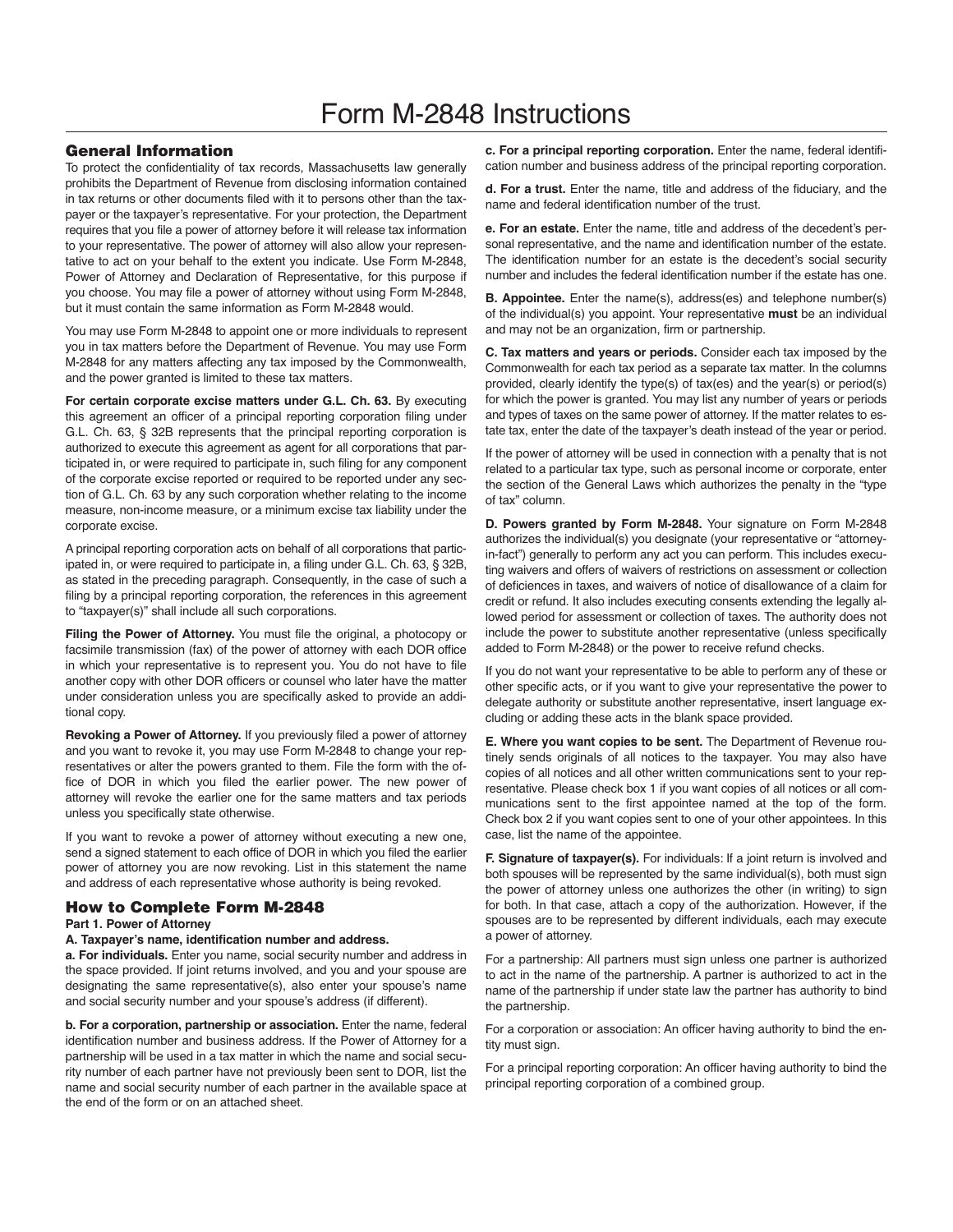# Form M-2848 Instructions

#### **General Information**

To protect the confidentiality of tax records, Massachusetts law generally prohibits the Department of Revenue from disclosing information contained in tax returns or other documents filed with it to persons other than the taxpayer or the taxpayer's representative. For your protection, the Department requires that you file a power of attorney before it will release tax information to your representative. The power of attorney will also allow your representative to act on your behalf to the extent you indicate. Use Form M-2848, Power of Attorney and Declaration of Representative, for this purpose if you choose. You may file a power of attorney without using Form M-2848, but it must contain the same information as Form M-2848 would.

You may use Form M-2848 to appoint one or more individuals to represent you in tax matters before the Department of Revenue. You may use Form M-2848 for any matters affecting any tax imposed by the Commonwealth, and the power granted is limited to these tax matters.

**For certain corporate excise matters under G.L. Ch. 63.** By executing this agreement an officer of a principal reporting corporation filing under G.L. Ch. 63, § 32B represents that the principal reporting corporation is authorized to execute this agreement as agent for all corporations that participated in, or were required to participate in, such filing for any component of the corporate excise reported or required to be reported under any section of G.L. Ch. 63 by any such corporation whether relating to the income measure, non-income measure, or a minimum excise tax liability under the corporate excise.

A principal reporting corporation acts on behalf of all corporations that participated in, or were required to participate in, a filing under G.L. Ch. 63, § 32B, as stated in the preceding paragraph. Consequently, in the case of such a filing by a principal reporting corporation, the references in this agreement to "taxpayer(s)" shall include all such corporations.

Filing the Power of Attorney. You must file the original, a photocopy or facsimile transmission (fax) of the power of attorney with each DOR office in which your representative is to represent you. You do not have to file another copy with other DOR officers or counsel who later have the matter under consideration unless you are specifically asked to provide an additional copy.

**Revoking a Power of Attorney.** If you previously filed a power of attorney and you want to revoke it, you may use Form M-2848 to change your representatives or alter the powers granted to them. File the form with the office of DOR in which you filed the earlier power. The new power of attorney will revoke the earlier one for the same matters and tax periods unless you specifically state otherwise.

If you want to revoke a power of attorney without executing a new one, send a signed statement to each office of DOR in which you filed the earlier power of attorney you are now revoking. List in this statement the name and address of each representative whose authority is being revoked.

### **How to Complete Form M-2848**

#### **Part 1. Power of Attorney**

#### **A. Taxpayer's name, identification number and address.**

**a. For individuals.** Enter you name, social security number and address in the space provided. If joint returns involved, and you and your spouse are designating the same representative(s), also enter your spouse's name and social security number and your spouse's address (if different).

**b. For a corporation, partnership or association.** Enter the name, federal identification number and business address. If the Power of Attorney for a partnership will be used in a tax matter in which the name and social security number of each partner have not previously been sent to DOR, list the name and social security number of each partner in the available space at the end of the form or on an attached sheet.

**c. For a principal reporting corporation.** Enter the name, federal identification number and business address of the principal reporting corporation.

**d. For a trust.** Enter the name, title and address of the fiduciary, and the name and federal identification number of the trust.

**e. For an estate.** Enter the name, title and address of the decedent's personal representative, and the name and identification number of the estate. The identification number for an estate is the decedent's social security number and includes the federal identification number if the estate has one.

**B. Appointee.** Enter the name(s), address(es) and telephone number(s) of the individual(s) you appoint. Your representative **must** be an individual and may not be an organization, firm or partnership.

**C. Tax matters and years or periods.** Consider each tax imposed by the Commonwealth for each tax period as a separate tax matter. In the columns provided, clearly identify the type(s) of tax(es) and the year(s) or period(s) for which the power is granted. You may list any number of years or periods and types of taxes on the same power of attorney. If the matter relates to estate tax, enter the date of the taxpayer's death instead of the year or period.

If the power of attorney will be used in connection with a penalty that is not related to a particular tax type, such as personal income or corporate, enter the section of the General Laws which authorizes the penalty in the "type of tax" column.

**D. Powers granted by Form M-2848.** Your signature on Form M-2848 authorizes the individual(s) you designate (your representative or "attorneyin-fact") generally to perform any act you can perform. This includes executing waivers and offers of waivers of restrictions on assessment or collection of deficiences in taxes, and waivers of notice of disallowance of a claim for credit or refund. It also includes executing consents extending the legally allowed period for assessment or collection of taxes. The authority does not include the power to substitute another representative (unless specifically added to Form M-2848) or the power to receive refund checks.

If you do not want your representative to be able to perform any of these or other specific acts, or if you want to give your representative the power to delegate authority or substitute another representative, insert language excluding or adding these acts in the blank space provided.

**E. Where you want copies to be sent.** The Department of Revenue routinely sends originals of all notices to the taxpayer. You may also have copies of all notices and all other written communications sent to your representative. Please check box 1 if you want copies of all notices or all com munications sent to the first appointee named at the top of the form. Check box 2 if you want copies sent to one of your other appointees. In this case, list the name of the appointee.

**F. Signature of taxpayer(s).** For individuals: If a joint return is involved and both spouses will be represented by the same individual(s), both must sign the power of attorney unless one authorizes the other (in writing) to sign for both. In that case, attach a copy of the authorization. However, if the spouses are to be represented by different individuals, each may execute a power of attorney.

For a partnership: All partners must sign unless one partner is authorized to act in the name of the partnership. A partner is authorized to act in the name of the partnership if under state law the partner has authority to bind the partnership.

For a corporation or association: An officer having authority to bind the entity must sign.

For a principal reporting corporation: An officer having authority to bind the principal reporting corporation of a combined group.